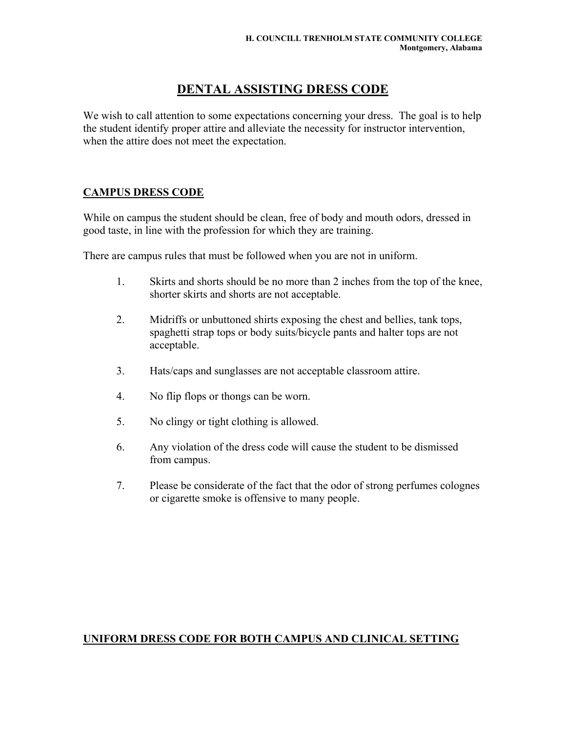# **DENTAL ASSISTING DRESS CODE**

We wish to call attention to some expectations concerning your dress. The goal is to help the student identify proper attire and alleviate the necessity for instructor intervention, when the attire does not meet the expectation.

### **CAMPUS DRESS CODE**

While on campus the student should be clean, free of body and mouth odors, dressed in good taste, in line with the profession for which they are training.

There are campus rules that must be followed when you are not in uniform.

- 1. Skirts and shorts should be no more than 2 inches from the top of the knee, shorter skirts and shorts are not acceptable.
- 2. Midriffs or unbuttoned shirts exposing the chest and bellies, tank tops, spaghetti strap tops or body suits/bicycle pants and halter tops are not acceptable.
- 3. Hats/caps and sunglasses are not acceptable classroom attire.
- 4. No flip flops or thongs can be worn.
- 5. No clingy or tight clothing is allowed.
- 6. Any violation of the dress code will cause the student to be dismissed from campus.
- 7. Please be considerate of the fact that the odor of strong perfumes colognes or cigarette smoke is offensive to many people.

## **UNIFORM DRESS CODE FOR BOTH CAMPUS AND CLINICAL SETTING**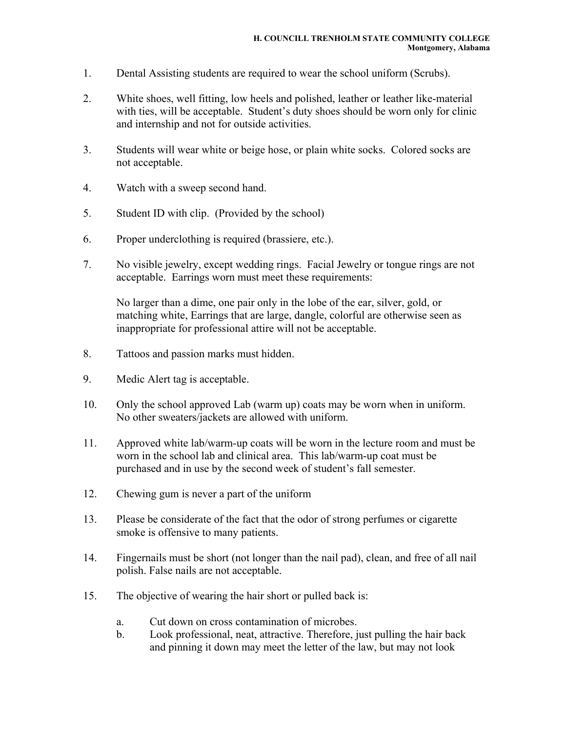- 1. Dental Assisting students are required to wear the school uniform (Scrubs).
- 2. White shoes, well fitting, low heels and polished, leather or leather like-material with ties, will be acceptable. Student's duty shoes should be worn only for clinic and internship and not for outside activities.
- 3. Students will wear white or beige hose, or plain white socks. Colored socks are not acceptable.
- 4. Watch with a sweep second hand.
- 5. Student ID with clip. (Provided by the school)
- 6. Proper underclothing is required (brassiere, etc.).
- 7. No visible jewelry, except wedding rings. Facial Jewelry or tongue rings are not acceptable. Earrings worn must meet these requirements:

No larger than a dime, one pair only in the lobe of the ear, silver, gold, or matching white, Earrings that are large, dangle, colorful are otherwise seen as inappropriate for professional attire will not be acceptable.

- 8. Tattoos and passion marks must hidden.
- 9. Medic Alert tag is acceptable.
- 10. Only the school approved Lab (warm up) coats may be worn when in uniform. No other sweaters/jackets are allowed with uniform.
- 11. Approved white lab/warm-up coats will be worn in the lecture room and must be worn in the school lab and clinical area. This lab/warm-up coat must be purchased and in use by the second week of student's fall semester.
- 12. Chewing gum is never a part of the uniform
- 13. Please be considerate of the fact that the odor of strong perfumes or cigarette smoke is offensive to many patients.
- 14. Fingernails must be short (not longer than the nail pad), clean, and free of all nail polish. False nails are not acceptable.
- 15. The objective of wearing the hair short or pulled back is:
	- a. Cut down on cross contamination of microbes.
	- b. Look professional, neat, attractive. Therefore, just pulling the hair back and pinning it down may meet the letter of the law, but may not look